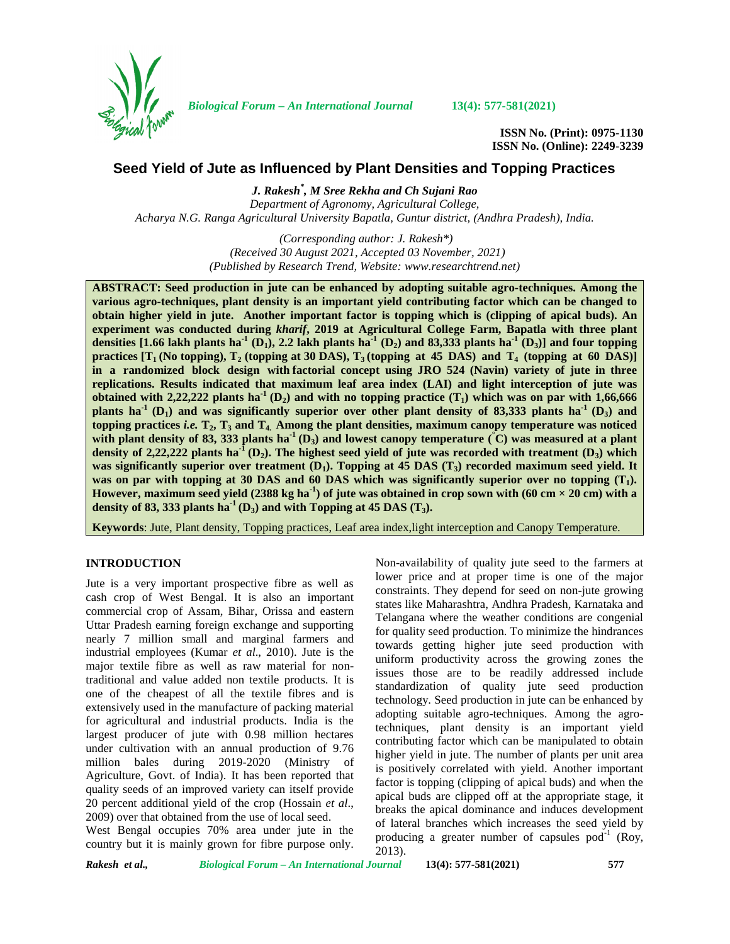

*Biological Forum – An International Journal* **13(4): 577-581(2021)**

**ISSN No. (Print): 0975-1130 ISSN No. (Online): 2249-3239**

# **Seed Yield of Jute as Influenced by Plant Densities and Topping Practices**

*J. Rakesh\* , M Sree Rekha and Ch Sujani Rao Department of Agronomy, Agricultural College, Acharya N.G. Ranga Agricultural University Bapatla, Guntur district, (Andhra Pradesh), India.*

> *(Corresponding author: J. Rakesh\*) (Received 30 August 2021, Accepted 03 November, 2021) (Published by Research Trend, Website: [www.researchtrend.net\)](www.researchtrend.net)*

**ABSTRACT: Seed production in jute can be enhanced by adopting suitable agro-techniques. Among the various agro-techniques, plant density is an important yield contributing factor which can be changed to obtain higher yield in jute. Another important factor is topping which is (clipping of apical buds). An experiment was conducted during** *kharif***, 2019 at Agricultural College Farm, Bapatla with three plant densities [1.66 lakh plants ha<sup>-1</sup> (D<sub>1</sub>), 2.2 lakh plants ha<sup>-1</sup> (D<sub>2</sub>) and 83,333 plants ha<sup>-1</sup> (D<sub>3</sub>)] and four topping** practices  $[T_1(N_0topping), T_2(T_0)$  (topping at 30 DAS),  $T_3(T_0)$  (topping at 45 DAS) and  $T_4(T_0)$  (topping at 60 DAS)] **in a randomized block design with factorial concept using JRO 524 (Navin) variety ofjute in three replications. Results indicated that maximum leaf area index (LAI) and light interception of jute was obtained with 2,22,222 plants ha<sup>1</sup> (D<sub>2</sub>) and with no topping practice**  $(T_1)$  **which was on par with 1,66,666 plants ha**<sup>1</sup> (D<sub>1</sub>) and was significantly superior over other plant density of 83,333 plants ha<sup>1</sup> (D<sub>3</sub>) and **topping practices** *i.e.* **T2, T<sup>3</sup> and T4. Among the plant densities, maximum canopy temperature was noticed** with plant density of 83, 333 plants ha<sup>-1</sup> (D<sub>3</sub>) and lowest canopy temperature  $(\hat{C})$  was measured at a plant density of 2,22,222 plants  $ha^{T}(D_2)$ . The highest seed yield of jute was recorded with treatment  $(D_3)$  which **was significantly superior over treatment (D1). Topping at 45 DAS (T3) recorded maximum seed yield. It was on par with topping at 30 DAS and 60 DAS which was significantly superior over no topping (T1). However, maximum seed yield (2388 kg ha**<sup>1</sup>) of jute was obtained in crop sown with (60 cm  $\times$  20 cm) with a **density of 83, 333 plants ha**<sup> $1$ </sup> ( $D_3$ ) and with Topping at 45 DAS ( $T_3$ ).

**Keywords**: Jute, Plant density, Topping practices, Leaf area index,light interception and Canopy Temperature.

# **INTRODUCTION**

Jute is a very important prospective fibre as well as cash crop of West Bengal. It is also an important commercial crop of Assam, Bihar, Orissa and eastern Uttar Pradesh earning foreign exchange and supporting nearly 7 million small and marginal farmers and industrial employees (Kumar *et al*., 2010). Jute is the major textile fibre as well as raw material for nontraditional and value added non textile products. It is one of the cheapest of all the textile fibres and is extensively used in the manufacture of packing material for agricultural and industrial products. India is the largest producer of jute with 0.98 million hectares under cultivation with an annual production of 9.76 million bales during 2019-2020 (Ministry of Agriculture, Govt. of India). It has been reported that quality seeds of an improved variety can itself provide 20 percent additional yield of the crop (Hossain *et al*., 2009) over that obtained from the use of local seed.

West Bengal occupies 70% area under jute in the country but it is mainly grown for fibre purpose only. Non-availability of quality jute seed to the farmers at lower price and at proper time is one of the major constraints. They depend for seed on non-jute growing states like Maharashtra, Andhra Pradesh, Karnataka and Telangana where the weather conditions are congenial for quality seed production. To minimize the hindrances towards getting higher jute seed production with uniform productivity across the growing zones the issues those are to be readily addressed include standardization of quality jute seed production technology. Seed production in jute can be enhanced by adopting suitable agro-techniques. Among the agrotechniques, plant density is an important yield contributing factor which can be manipulated to obtain higher yield in jute. The number of plants per unit area is positively correlated with yield. Another important factor is topping (clipping of apical buds) and when the apical buds are clipped off at the appropriate stage, it breaks the apical dominance and induces development of lateral branches which increases the seed yield by producing a greater number of capsules  $pod^{-1}$  (Roy, 2013).

*Rakesh et al., Biological Forum – An International Journal* **13(4): 577-581(2021) 577**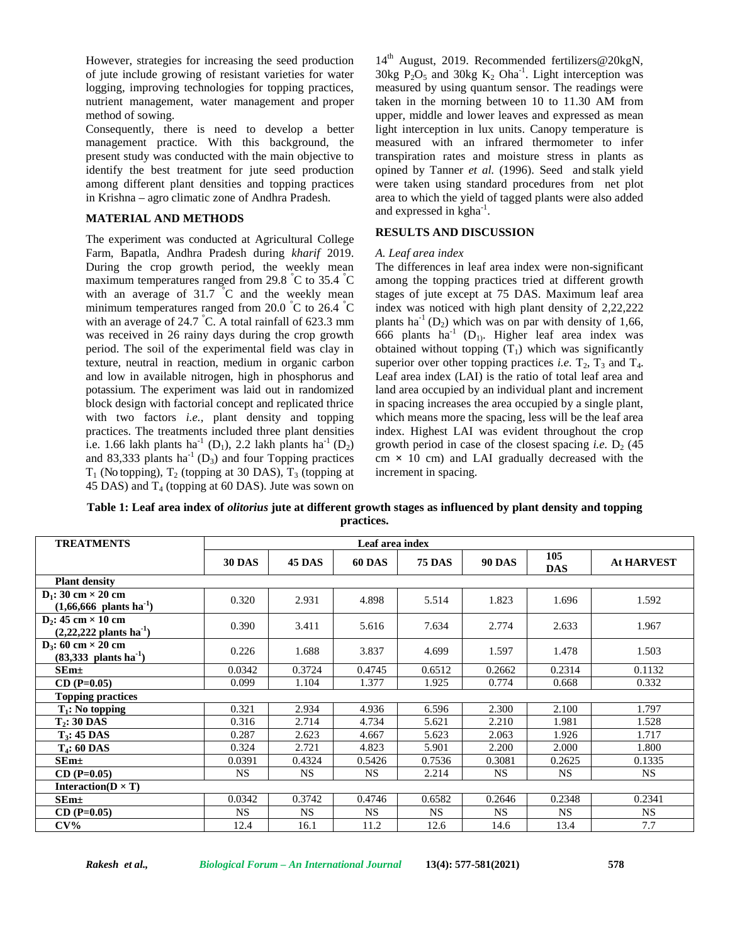However, strategies for increasing the seed production of jute include growing of resistant varieties for water logging, improving technologies for topping practices, nutrient management, water management and proper method of sowing.

Consequently, there is need to develop a better management practice. With this background, the present study was conducted with the main objective to identify the best treatment for jute seed production among different plant densities and topping practices in Krishna – agro climatic zone of Andhra Pradesh.

### **MATERIAL AND METHODS**

The experiment was conducted at Agricultural College Farm, Bapatla, Andhra Pradesh during *kharif* 2019. During the crop growth period, the weekly mean maximum temperatures ranged from 29.8 °C to 35.4 °C with an average of  $31.7$  °C and the weekly mean minimum temperatures ranged from 20.0  $\degree$ C to 26.4  $\degree$ C with an average of 24.7 °C. A total rainfall of 623.3 mm was received in 26 rainy days during the crop growth period. The soil of the experimental field was clay in texture, neutral in reaction, medium in organic carbon and low in available nitrogen, high in phosphorus and potassium. The experiment was laid out in randomized block design with factorial concept and replicated thrice with two factors *i.e.,* plant density and topping practices. The treatments included three plant densities i.e. 1.66 lakh plants ha<sup>-1</sup> (D<sub>1</sub>), 2.2 lakh plants ha<sup>-1</sup> (D<sub>2</sub>) and 83,333 plants ha<sup>-1</sup> (D<sub>3</sub>) and four Topping practices  $T_1$  (No topping),  $T_2$  (topping at 30 DAS),  $T_3$  (topping at 45 DAS) and  $T_4$  (topping at 60 DAS). Jute was sown on

14<sup>th</sup> August, 2019. Recommended fertilizers@20kgN, 30kg  $P_2O_5$  and 30kg  $K_2$  Oha<sup>-1</sup>. Light interception was measured by using quantum sensor. The readings were taken in the morning between 10 to 11.30 AM from upper, middle and lower leaves and expressed as mean light interception in lux units. Canopy temperature is measured with an infrared thermometer to infer transpiration rates and moisture stress in plants as opined by Tanner *et al.* (1996). Seed and stalk yield were taken using standard procedures from net plot area to which the yield of tagged plants were also added and expressed in kgha<sup>-1</sup>.

### **RESULTS AND DISCUSSION**

#### *A. Leaf area index*

The differences in leaf area index were non-significant among the topping practices tried at different growth stages of jute except at 75 DAS. Maximum leaf area index was noticed with high plant density of 2,22,222 plants ha<sup>-1</sup> (D<sub>2</sub>) which was on par with density of 1,66, 666 plants ha<sup>-1</sup> (D<sub>1</sub>). Higher leaf area index was obtained without topping  $(T_1)$  which was significantly superior over other topping practices *i.e.*  $T_2$ ,  $T_3$  and  $T_4$ . Leaf area index (LAI) is the ratio of total leaf area and land area occupied by an individual plant and increment in spacing increases the area occupied by a single plant, which means more the spacing, less will be the leaf area index. Highest LAI was evident throughout the crop growth period in case of the closest spacing *i.e.*  $D_2$  (45) cm **×** 10 cm) and LAI gradually decreased with the increment in spacing.

**Table 1: Leaf area index of** *olitorius* **jute at different growth stages as influenced by plant density and topping practices.**

| <b>TREATMENTS</b>                                                    | Leaf area index |               |               |               |               |                   |                   |  |
|----------------------------------------------------------------------|-----------------|---------------|---------------|---------------|---------------|-------------------|-------------------|--|
|                                                                      | <b>30 DAS</b>   | <b>45 DAS</b> | <b>60 DAS</b> | <b>75 DAS</b> | <b>90 DAS</b> | 105<br><b>DAS</b> | <b>At HARVEST</b> |  |
| <b>Plant density</b>                                                 |                 |               |               |               |               |                   |                   |  |
| $D_1$ : 30 cm $\times$ 20 cm<br>$(1,66,666 \text{ plants ha}^{-1})$  | 0.320           | 2.931         | 4.898         | 5.514         | 1.823         | 1.696             | 1.592             |  |
| $D_2$ : 45 cm $\times$ 10 cm<br>$(2,22,222 \text{ plants ha}^{-1})$  | 0.390           | 3.411         | 5.616         | 7.634         | 2.774         | 2.633             | 1.967             |  |
| $D_3$ : 60 cm $\times$ 20 cm<br>$(83,333)$ plants ha <sup>-1</sup> ) | 0.226           | 1.688         | 3.837         | 4.699         | 1.597         | 1.478             | 1.503             |  |
| $SEm\pm$                                                             | 0.0342          | 0.3724        | 0.4745        | 0.6512        | 0.2662        | 0.2314            | 0.1132            |  |
| $CD (P=0.05)$                                                        | 0.099           | 1.104         | 1.377         | 1.925         | 0.774         | 0.668             | 0.332             |  |
| <b>Topping practices</b>                                             |                 |               |               |               |               |                   |                   |  |
| $T_1$ : No topping                                                   | 0.321           | 2.934         | 4.936         | 6.596         | 2.300         | 2.100             | 1.797             |  |
| $T2: 30$ DAS                                                         | 0.316           | 2.714         | 4.734         | 5.621         | 2.210         | 1.981             | 1.528             |  |
| $T3: 45$ DAS                                                         | 0.287           | 2.623         | 4.667         | 5.623         | 2.063         | 1.926             | 1.717             |  |
| $T_4$ : 60 DAS                                                       | 0.324           | 2.721         | 4.823         | 5.901         | 2.200         | 2.000             | 1.800             |  |
| $SEm\pm$                                                             | 0.0391          | 0.4324        | 0.5426        | 0.7536        | 0.3081        | 0.2625            | 0.1335            |  |
| $CD (P=0.05)$                                                        | <b>NS</b>       | <b>NS</b>     | <b>NS</b>     | 2.214         | <b>NS</b>     | <b>NS</b>         | <b>NS</b>         |  |
| Interaction( $D \times T$ )                                          |                 |               |               |               |               |                   |                   |  |
| $SEm\pm$                                                             | 0.0342          | 0.3742        | 0.4746        | 0.6582        | 0.2646        | 0.2348            | 0.2341            |  |
| $CD (P=0.05)$                                                        | NS.             | NS.           | NS.           | NS.           | NS.           | NS.               | NS.               |  |
| $CV\%$                                                               | 12.4            | 16.1          | 11.2          | 12.6          | 14.6          | 13.4              | 7.7               |  |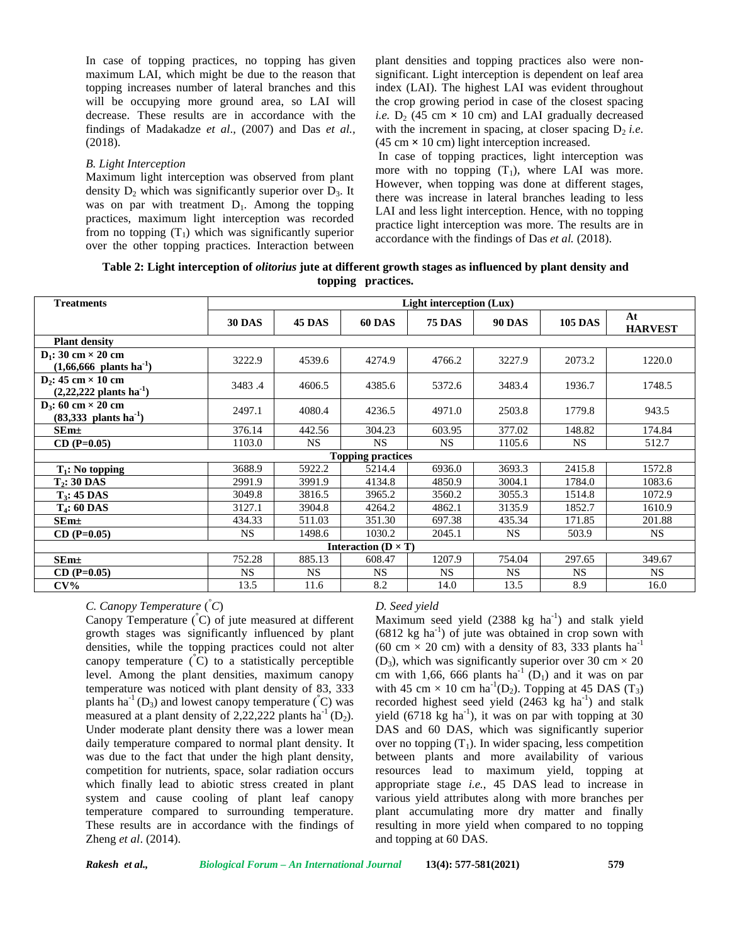In case of topping practices, no topping has given maximum LAI, which might be due to the reason that topping increases number of lateral branches and this will be occupying more ground area, so LAI will decrease. These results are in accordance with the findings of Madakadze *etal*., (2007) and Das *et al.,* (2018).

#### *B. Light Interception*

Maximum light interception was observed from plant density  $D_2$  which was significantly superior over  $D_3$ . It was on par with treatment  $D_1$ . Among the topping practices, maximum light interception was recorded from no topping  $(T_1)$  which was significantly superior over the other topping practices. Interaction between

plant densities and topping practices also were non significant. Light interception is dependent on leaf area index (LAI). The highest LAI was evident throughout the crop growing period in case of the closest spacing *i.e.*  $D_2$  (45 cm  $\times$  10 cm) and LAI gradually decreased with the increment in spacing, at closer spacing  $D_2$  *i.e.* (45 cm **×** 10 cm) light interception increased.

In case of topping practices, light interception was more with no topping  $(T_1)$ , where LAI was more. However, when topping was done at different stages, there was increase in lateral branches leading to less LAI and less light interception. Hence, with no topping practice light interception was more. The results are in accordance with the findings of Das *et al.* (2018).

### **Table 2: Light interception of** *olitorius* **jute at different growth stages as influenced by plant density and topping practices.**

| <b>Treatments</b>                                                    | Light interception (Lux) |               |               |               |               |                |                      |
|----------------------------------------------------------------------|--------------------------|---------------|---------------|---------------|---------------|----------------|----------------------|
|                                                                      | <b>30 DAS</b>            | <b>45 DAS</b> | <b>60 DAS</b> | <b>75 DAS</b> | <b>90 DAS</b> | <b>105 DAS</b> | At<br><b>HARVEST</b> |
| <b>Plant density</b>                                                 |                          |               |               |               |               |                |                      |
| $D_1$ : 30 cm $\times$ 20 cm<br>$(1,66,666 \text{ plants ha}^{-1})$  | 3222.9                   | 4539.6        | 4274.9        | 4766.2        | 3227.9        | 2073.2         | 1220.0               |
| $D_2$ : 45 cm $\times$ 10 cm<br>$(2,22,222 \text{ plants ha}^{-1})$  | 3483.4                   | 4606.5        | 4385.6        | 5372.6        | 3483.4        | 1936.7         | 1748.5               |
| $D_3$ : 60 cm $\times$ 20 cm<br>$(83,333)$ plants ha <sup>-1</sup> ) | 2497.1                   | 4080.4        | 4236.5        | 4971.0        | 2503.8        | 1779.8         | 943.5                |
| $SEm\pm$                                                             | 376.14                   | 442.56        | 304.23        | 603.95        | 377.02        | 148.82         | 174.84               |
| $CD (P=0.05)$                                                        | 1103.0                   | <b>NS</b>     | <b>NS</b>     | <b>NS</b>     | 1105.6        | <b>NS</b>      | 512.7                |
| <b>Topping practices</b>                                             |                          |               |               |               |               |                |                      |
| $T_1$ : No topping                                                   | 3688.9                   | 5922.2        | 5214.4        | 6936.0        | 3693.3        | 2415.8         | 1572.8               |
| $T2: 30$ DAS                                                         | 2991.9                   | 3991.9        | 4134.8        | 4850.9        | 3004.1        | 1784.0         | 1083.6               |
| $T_3$ : 45 DAS                                                       | 3049.8                   | 3816.5        | 3965.2        | 3560.2        | 3055.3        | 1514.8         | 1072.9               |
| $T_4$ : 60 DAS                                                       | 3127.1                   | 3904.8        | 4264.2        | 4862.1        | 3135.9        | 1852.7         | 1610.9               |
| $SEm\pm$                                                             | 434.33                   | 511.03        | 351.30        | 697.38        | 435.34        | 171.85         | 201.88               |
| $CD (P=0.05)$                                                        | <b>NS</b>                | 1498.6        | 1030.2        | 2045.1        | <b>NS</b>     | 503.9          | NS.                  |
| Interaction ( $D \times T$ )                                         |                          |               |               |               |               |                |                      |
| SEm <sub>±</sub>                                                     | 752.28                   | 885.13        | 608.47        | 1207.9        | 754.04        | 297.65         | 349.67               |
| $CD (P=0.05)$                                                        | <b>NS</b>                | <b>NS</b>     | <b>NS</b>     | <b>NS</b>     | <b>NS</b>     | <b>NS</b>      | <b>NS</b>            |
| $CV\%$                                                               | 13.5                     | 11.6          | 8.2           | 14.0          | 13.5          | 8.9            | 16.0                 |

*C. Canopy Temperature* ( *°C*)

Canopy Temperature (**°**C) of jute measured at different growth stages was significantly influenced by plant densities, while the topping practices could not alter canopy temperature (**°**C) to a statistically perceptible level. Among the plant densities, maximum canopy temperature was noticed with plant density of 83, 333 plants ha<sup>-1</sup> (D<sub>3</sub>) and lowest canopy temperature  $({\rm ^{\circ}C})$  was measured at a plant density of 2,22,222 plants ha<sup>-1</sup> (D<sub>2</sub>). Under moderate plant density there was a lower mean daily temperature compared to normal plant density. It was due to the fact that under the high plant density, competition for nutrients, space, solar radiation occurs which finally lead to abiotic stress created in plant system and cause cooling of plant leaf canopy temperature compared to surrounding temperature. These results are in accordance with the findings of Zheng *et al*. (2014).

# *D. Seed yield*

Maximum seed yield  $(2388 \text{ kg ha}^{-1})$  and stalk yield  $(6812 \text{ kg ha}^{-1})$  of jute was obtained in crop sown with (60 cm  $\times$  20 cm) with a density of 83, 333 plants ha<sup>-1</sup> (D<sub>3</sub>), which was significantly superior over 30 cm  $\times$  20 cm with 1,66, 666 plants  $ha^{-1} (D_1)$  and it was on par with 45 cm  $\times$  10 cm ha<sup>-1</sup>(D<sub>2</sub>). Topping at 45 DAS (T<sub>3</sub>) recorded highest seed yield  $(2463 \text{ kg} \text{ ha}^{-1})$  and stalk yield  $(6718 \text{ kg ha}^{-1})$ , it was on par with topping at 30 DAS and 60 DAS, which was significantly superior over no topping  $(T_1)$ . In wider spacing, less competition between plants and more availability of various resources lead to maximum yield, topping at appropriate stage *i.e.*, 45 DAS lead to increase in various yield attributes along with more branches per plant accumulating more dry matter and finally resulting in more yield when compared to no topping and topping at 60 DAS.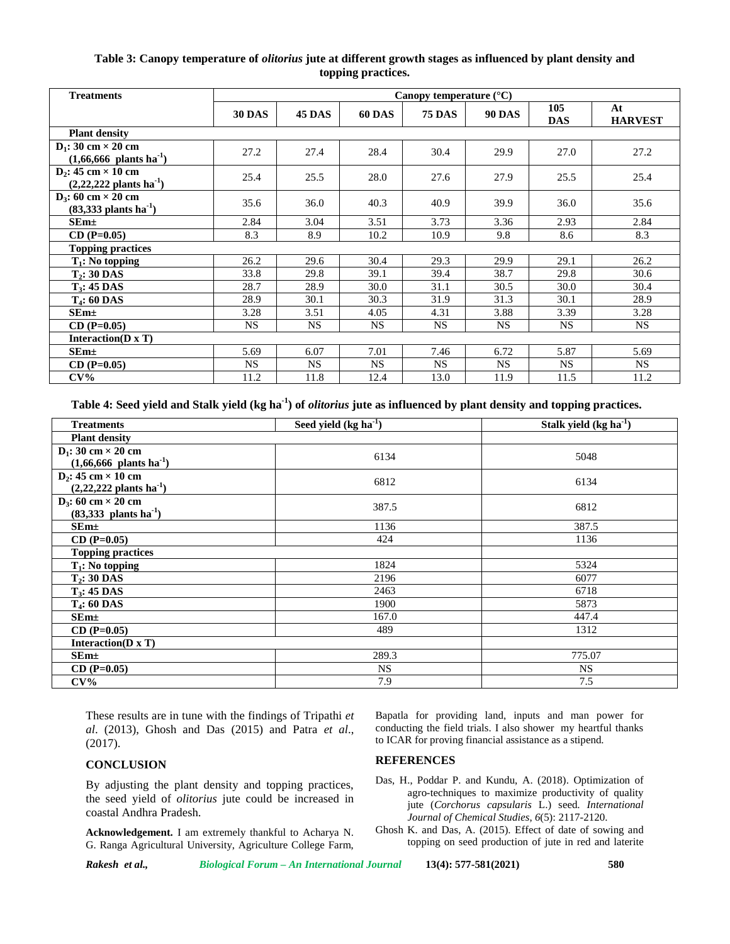# **Table 3: Canopy temperature of** *olitorius* **jute at different growth stages as influenced by plant density and topping practices.**

| <b>Treatments</b>                                                         | Canopy temperature $(^{\circ}C)$ |           |               |               |               |                   |                      |
|---------------------------------------------------------------------------|----------------------------------|-----------|---------------|---------------|---------------|-------------------|----------------------|
|                                                                           | <b>30 DAS</b>                    | 45 DAS    | <b>60 DAS</b> | <b>75 DAS</b> | <b>90 DAS</b> | 105<br><b>DAS</b> | At<br><b>HARVEST</b> |
| <b>Plant density</b>                                                      |                                  |           |               |               |               |                   |                      |
| $D_1$ : 30 cm $\times$ 20 cm<br>$(1,66,666 \text{ plants ha}^{-1})$       | 27.2                             | 27.4      | 28.4          | 30.4          | 29.9          | 27.0              | 27.2                 |
| $D_2$ : 45 cm $\times$ 10 cm<br>$(2,22,222 \text{ plants ha}^{-1})$       | 25.4                             | 25.5      | 28.0          | 27.6          | 27.9          | 25.5              | 25.4                 |
| $D_3$ : 60 cm $\times$ 20 cm<br>$(83,333 \text{ plants} \text{ ha}^{-1})$ | 35.6                             | 36.0      | 40.3          | 40.9          | 39.9          | 36.0              | 35.6                 |
| SEm <sub>±</sub>                                                          | 2.84                             | 3.04      | 3.51          | 3.73          | 3.36          | 2.93              | 2.84                 |
| $CD (P=0.05)$                                                             | 8.3                              | 8.9       | 10.2          | 10.9          | 9.8           | 8.6               | 8.3                  |
| <b>Topping practices</b>                                                  |                                  |           |               |               |               |                   |                      |
| $T_1$ : No topping                                                        | 26.2                             | 29.6      | 30.4          | 29.3          | 29.9          | 29.1              | 26.2                 |
| $T2: 30$ DAS                                                              | 33.8                             | 29.8      | 39.1          | 39.4          | 38.7          | 29.8              | 30.6                 |
| $T_3$ : 45 DAS                                                            | 28.7                             | 28.9      | 30.0          | 31.1          | 30.5          | 30.0              | 30.4                 |
| $T_4$ : 60 DAS                                                            | 28.9                             | 30.1      | 30.3          | 31.9          | 31.3          | 30.1              | 28.9                 |
| $SEm+$                                                                    | 3.28                             | 3.51      | 4.05          | 4.31          | 3.88          | 3.39              | 3.28                 |
| $CD (P=0.05)$                                                             | <b>NS</b>                        | <b>NS</b> | <b>NS</b>     | <b>NS</b>     | <b>NS</b>     | <b>NS</b>         | <b>NS</b>            |
| Interaction( $\mathbf{D} \times \mathbf{T}$ )                             |                                  |           |               |               |               |                   |                      |
| SEm <sub>±</sub>                                                          | 5.69                             | 6.07      | 7.01          | 7.46          | 6.72          | 5.87              | 5.69                 |
| $CD (P=0.05)$                                                             | <b>NS</b>                        | <b>NS</b> | <b>NS</b>     | <b>NS</b>     | <b>NS</b>     | <b>NS</b>         | <b>NS</b>            |
| $CV\%$                                                                    | 11.2                             | 11.8      | 12.4          | 13.0          | 11.9          | 11.5              | 11.2                 |

**Table 4: Seed yield and Stalk yield (kg ha-1) of** *olitorius* **jute as influenced by plant density and topping practices.**

| <b>Treatments</b>                   | Seed yield $(kg ha-1)$ | Stalk yield $(kg ha-1)$ |  |  |  |  |  |
|-------------------------------------|------------------------|-------------------------|--|--|--|--|--|
| <b>Plant density</b>                |                        |                         |  |  |  |  |  |
| $D_1$ : 30 cm $\times$ 20 cm        | 6134                   | 5048                    |  |  |  |  |  |
| $(1,66,666 \text{ plants ha}^{-1})$ |                        |                         |  |  |  |  |  |
| $D_2$ : 45 cm $\times$ 10 cm        | 6812                   | 6134                    |  |  |  |  |  |
| $(2,22,222 \text{ plants ha}^{-1})$ |                        |                         |  |  |  |  |  |
| $D_3$ : 60 cm $\times$ 20 cm        | 387.5                  | 6812                    |  |  |  |  |  |
| $(83,333 \text{ plants ha}^{-1})$   |                        |                         |  |  |  |  |  |
| $SEm\pm$                            | 1136                   | 387.5                   |  |  |  |  |  |
| $CD (P=0.05)$                       | 424                    | 1136                    |  |  |  |  |  |
| <b>Topping practices</b>            |                        |                         |  |  |  |  |  |
| $T_1$ : No topping                  | 1824                   | 5324                    |  |  |  |  |  |
| $T_2$ : 30 DAS                      | 2196                   | 6077                    |  |  |  |  |  |
| $T_3$ : 45 DAS                      | 2463                   | 6718                    |  |  |  |  |  |
| $T_4$ : 60 DAS                      | 1900                   | 5873                    |  |  |  |  |  |
| SEm <sub>±</sub>                    | 167.0                  | 447.4                   |  |  |  |  |  |
| $CD (P=0.05)$                       | 489                    | 1312                    |  |  |  |  |  |
| Interaction( $D \times T$ )         |                        |                         |  |  |  |  |  |
| $SEm\pm$                            | 289.3                  | 775.07                  |  |  |  |  |  |
| $CD (P=0.05)$                       | <b>NS</b>              | <b>NS</b>               |  |  |  |  |  |
| $CV\%$                              | 7.9                    | 7.5                     |  |  |  |  |  |

These results are in tune with the findings of Tripathi *et al*. (2013), Ghosh and Das (2015) and Patra *et al*., (2017).

#### **CONCLUSION**

By adjusting the plant density and topping practices, the seed yield of *olitorius* jute could be increased in coastal Andhra Pradesh.

**Acknowledgement.** I am extremely thankful to Acharya N. G. Ranga Agricultural University, Agriculture College Farm, Bapatla for providing land, inputs and man power for conducting the field trials. I also shower my heartful thanks to ICAR for proving financial assistance as a stipend.

#### **REFERENCES**

- Das, H., Poddar P. and Kundu, A. (2018). Optimization of agro-techniques to maximize productivity of quality jute (*Corchorus capsularis* L.) seed. *International Journal of Chemical Studies*, *6*(5): 2117-2120.
- Ghosh K. and Das, A. (2015). Effect of date of sowing and topping on seed production of jute in red and laterite

*Rakesh et al., Biological Forum – An International Journal* **13(4): 577-581(2021) 580**